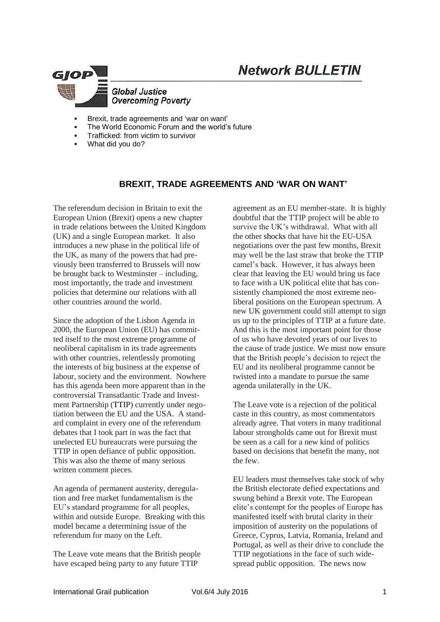# **Network BULLETIN**



- Brexit, trade agreements and 'war on want'
- The World Economic Forum and the world's future
- Trafficked: from victim to survivor
- What did you do?

### **BREXIT, TRADE AGREEMENTS AND 'WAR ON WANT'**

The referendum decision in Britain to exit the European Union (Brexit) opens a new chapter in trade relations between the United Kingdom (UK) and a single European market. It also introduces a new phase in the political life of the UK, as many of the powers that had previously been transferred to Brussels will now be brought back to Westminster – including, most importantly, the trade and investment policies that determine our relations with all other countries around the world.

Since the adoption of the Lisbon Agenda in 2000, the European Union (EU) has committed itself to the most extreme programme of neoliberal capitalism in its trade agreements with other countries, relentlessly promoting the interests of big business at the expense of labour, society and the environment. Nowhere has this agenda been more apparent than in the controversial Transatlantic Trade and Investment Partnership [\(TTIP\)](http://www.independent.co.uk/voices/comment/what-is-ttip-and-six-reasons-why-the-answer-should-scare-you-9779688.html) currently under negotiation between the EU and the USA. A standard complaint in every one of the referendum debates that I took part in was the fact that unelected EU bureaucrats were pursuing the TTIP in open defiance of public opposition. This was also the theme of many serious written comment pieces.

An agenda of permanent austerity, deregulation and free market fundamentalism is the EU's standard programme for all peoples, within and outside Europe. Breaking with this model became a determining issue of the referendum for many on the Left.

The Leave vote means that the British people have escaped being party to any future TTIP

agreement as an EU member-state. It is highly doubtful that the TTIP project will be able to survive the UK's withdrawal. What with all the other [shocks](http://www.independent.co.uk/voices/ttip-leaks-shocking-what-are-they-eu-us-deal-a7010121.html) that have hit the EU-USA negotiations over the past few months, Brexit may well be the last straw that broke the TTIP camel's back. However, it has always been clear that leaving the EU would bring us face to face with a UK political elite that has consistently championed the most extreme neoliberal positions on the European spectrum. A new UK government could still attempt to sign us up to the principles of TTIP at a future date. And this is the most important point for those of us who have devoted years of our lives to the cause of trade justice. We must now ensure that the British people's decision to reject the EU and its neoliberal programme cannot be twisted into a mandate to pursue the same agenda unilaterally in the UK.

The Leave vote is a rejection of the political caste in this country, as most commentators already agree. That voters in many traditional labour strongholds came out for Brexit must be seen as a call for a new kind of politics based on decisions that benefit the many, not the few.

EU leaders must themselves take stock of why the British electorate defied expectations and swung behind a Brexit vote. The European elite's contempt for the peoples of Europe has manifested itself with brutal clarity in their imposition of austerity on the populations of Greece, Cyprus, Latvia, Romania, Ireland and Portugal, as well as their drive to conclude the TTIP negotiations in the face of such widespread public opposition. The news now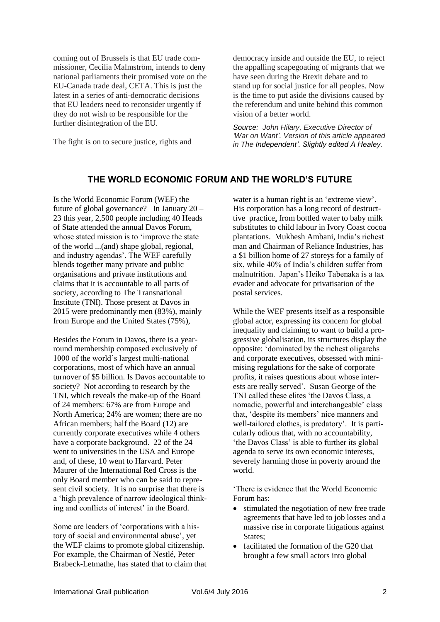coming out of Brussels is that EU trade commissioner, Cecilia Malmström, intends to [deny](http://www.breitbart.com/london/2016/06/21/eu-bypass-democracy-trade-deals/) national parliaments their promised vote on the EU-Canada trade deal, CETA. This is just the latest in a series of anti-democratic decisions that EU leaders need to reconsider urgently if they do not wish to be responsible for the further disintegration of the EU.

The fight is on to secure justice, rights and

democracy inside and outside the EU, to reject the appalling scapegoating of migrants that we have seen during the Brexit debate and to stand up for social justice for all peoples. Now is the time to put aside the divisions caused by the referendum and unite behind this common vision of a better world.

*Source: John Hilary, Executive Director of 'War on Want'. Version of this article appeared in The [Independent'.](http://www.independent.co.uk/voices/brexit-ttip-what-next-europe-canada-trade-a7104356.html) Slightly edited A Healey.*

#### **THE WORLD ECONOMIC FORUM AND THE WORLD'S FUTURE**

Is the World Economic Forum (WEF) the future of global governance? In January 20 – 23 this year, 2,500 people including 40 Heads of State attended the annual Davos Forum, whose stated mission is to 'improve the state of the world ...(and) shape global, regional, and industry agendas'. The WEF carefully blends together many private and public organisations and private institutions and claims that it is accountable to all parts of society, according to The Transnational Institute (TNI). Those present at Davos in 2015 were predominantly men (83%), mainly from Europe and the United States (75%),

Besides the Forum in Davos, there is a yearround membership composed exclusively of 1000 of the world's largest multi-national corporations, most of which have an annual turnover of \$5 billion. Is Davos accountable to society? Not according to research by the TNI, which reveals the make-up of the Board of 24 members: 67% are from Europe and North America; 24% are women; there are no African members; half the Board (12) are currently corporate executives while 4 others have a corporate background. 22 of the 24 went to universities in the USA and Europe and, of these, 10 went to Harvard. Peter Maurer of the International Red Cross is the only Board member who can be said to represent civil society. It is no surprise that there is a 'high prevalence of narrow ideological thinking and conflicts of interest' in the Board.

Some are leaders of 'corporations with a history of social and environmental abuse', yet the WEF claims to promote global citizenship. For example, the Chairman of Nestlé, Peter Brabeck-Letmathe, has stated that to claim that

water is a human right is an 'extreme view'. His corporation has a long record of destructtive practice, from bottled water to baby milk substitutes to child labour in Ivory Coast cocoa plantations. Mukhesh Ambani, India's richest man and Chairman of Reliance Industries, has a \$1 billion home of 27 storeys for a family of six, while 40% of India's children suffer from malnutrition. Japan's Heiko Tabenaka is a tax evader and advocate for privatisation of the postal services.

While the WEF presents itself as a responsible global actor, expressing its concern for global inequality and claiming to want to build a progressive globalisation, its structures display the opposite: 'dominated by the richest oligarchs and corporate executives, obsessed with minimising regulations for the sake of corporate profits, it raises questions about whose interests are really served'. Susan George of the TNI called these elites 'the Davos Class, a nomadic, powerful and interchangeable' class that, 'despite its members' nice manners and well-tailored clothes, is predatory'. It is particularly odious that, with no accountability, 'the Davos Class' is able to further its global agenda to serve its own economic interests, severely harming those in poverty around the world.

'There is evidence that the World Economic Forum has:

- stimulated the negotiation of new free trade agreements that have led to job losses and a massive rise in corporate litigations against States;
- facilitated the formation of the G20 that brought a few small actors into global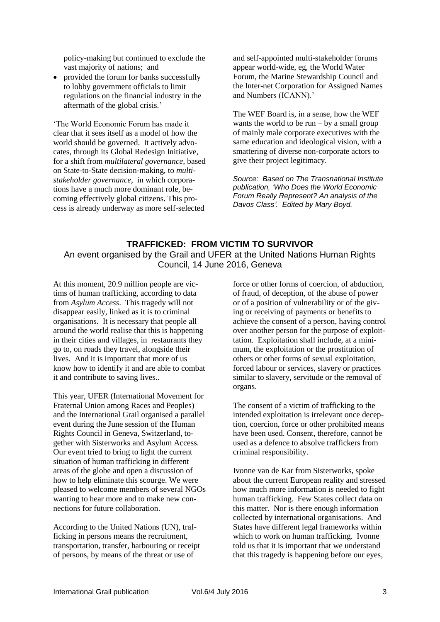policy-making but continued to exclude the vast majority of nations; and

• provided the forum for banks successfully to lobby government officials to limit regulations on the financial industry in the aftermath of the global crisis.'

'The World Economic Forum has made it clear that it sees itself as a model of how the world should be governed. It actively advocates, through its Global Redesign Initiative, for a shift from *multilateral governance,* based on State-to-State decision-making, to *multistakeholder governance,* in which corporations have a much more dominant role, becoming effectively global citizens. This process is already underway as more self-selected

and self-appointed multi-stakeholder forums appear world-wide, eg, the World Water Forum, the Marine Stewardship Council and the Inter-net Corporation for Assigned Names and Numbers (ICANN).'

The WEF Board is, in a sense, how the WEF wants the world to be run  $-$  by a small group of mainly male corporate executives with the same education and ideological vision, with a smattering of diverse non-corporate actors to give their project legitimacy.

*Source: Based on The Transnational Institute publication, 'Who Does the World Economic Forum Really Represent? An analysis of the Davos Class'. Edited by Mary Boyd.*

## **TRAFFICKED: FROM VICTIM TO SURVIVOR** An event organised by the Grail and UFER at the United Nations Human Rights Council, 14 June 2016, Geneva

At this moment, 20.9 million people are victims of human trafficking, according to data from *Asylum Access*. This tragedy will not disappear easily, linked as it is to criminal organisations. It is necessary that people all around the world realise that this is happening in their cities and villages, in restaurants they go to, on roads they travel, alongside their lives. And it is important that more of us know how to identify it and are able to combat it and contribute to saving lives..

This year, UFER (International Movement for Fraternal Union among Races and Peoples) and the International Grail organised a parallel event during the June session of the Human Rights Council in Geneva, Switzerland, together with Sisterworks and Asylum Access. Our event tried to bring to light the current situation of human trafficking in different areas of the globe and open a discussion of how to help eliminate this scourge. We were pleased to welcome members of several NGOs wanting to hear more and to make new connections for future collaboration.

According to the United Nations (UN), trafficking in persons means the recruitment, transportation, transfer, harbouring or receipt of persons, by means of the threat or use of

force or other forms of coercion, of abduction, of fraud, of deception, of the abuse of power or of a position of vulnerability or of the giving or receiving of payments or benefits to achieve the consent of a person, having control over another person for the purpose of exploittation. Exploitation shall include, at a minimum, the exploitation or the prostitution of others or other forms of sexual exploitation, forced labour or services, slavery or practices similar to slavery, servitude or the removal of organs.

The consent of a victim of trafficking to the intended exploitation is irrelevant once deception, coercion, force or other prohibited means have been used. Consent, therefore, cannot be used as a defence to absolve traffickers from criminal responsibility.

Ivonne van de Kar from Sisterworks, spoke about the current European reality and stressed how much more information is needed to fight human trafficking. Few States collect data on this matter. Nor is there enough information collected by international organisations. And States have different legal frameworks within which to work on human trafficking. Ivonne told us that it is important that we understand that this tragedy is happening before our eyes,